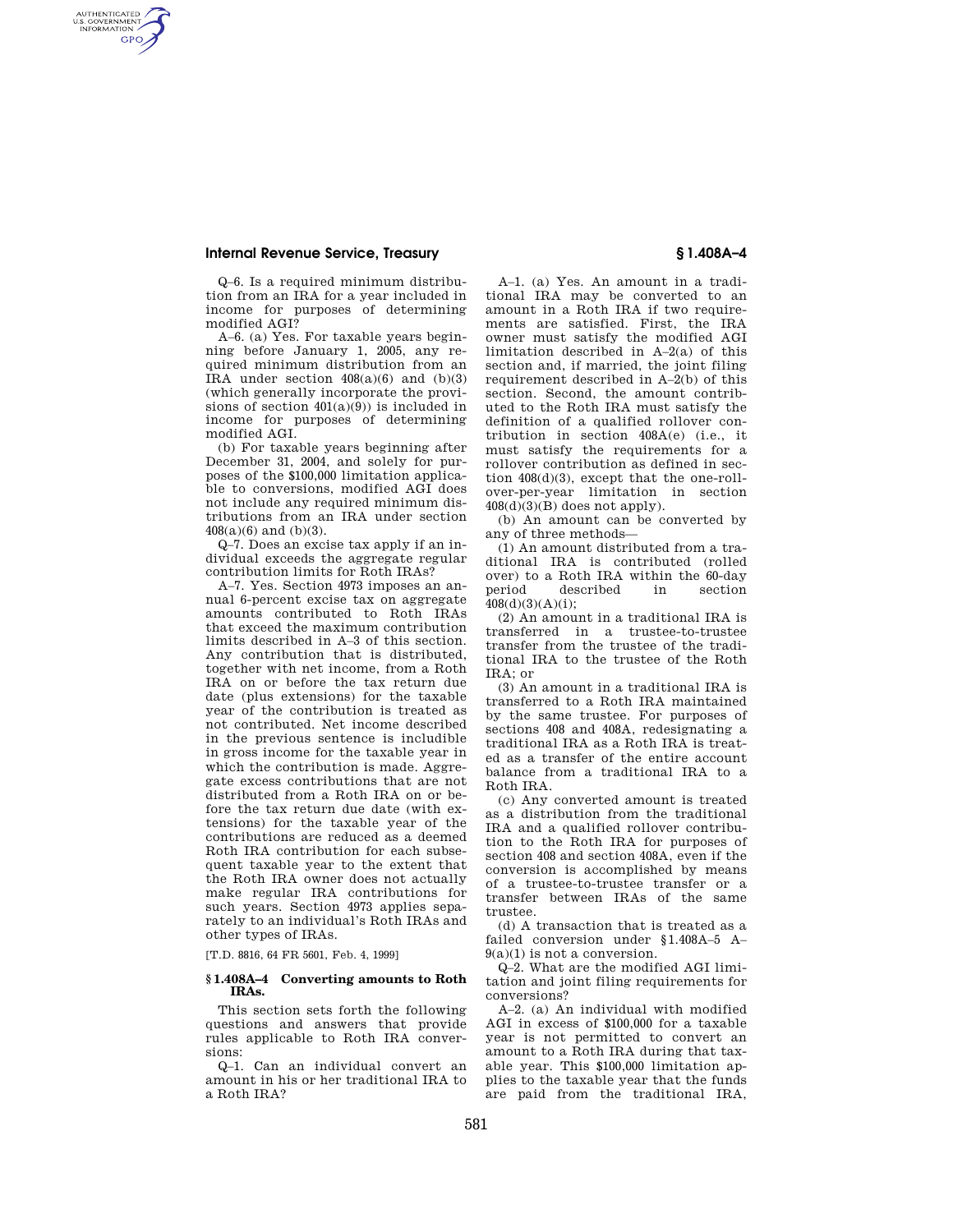## **Internal Revenue Service, Treasury § 1.408A–4**

AUTHENTICATED<br>U.S. GOVERNMENT<br>INFORMATION **GPO** 

> Q–6. Is a required minimum distribution from an IRA for a year included in income for purposes of determining modified AGI?

> A–6. (a) Yes. For taxable years beginning before January 1, 2005, any required minimum distribution from an IRA under section  $408(a)(6)$  and  $(b)(3)$ (which generally incorporate the provisions of section  $401(a)(9)$  is included in income for purposes of determining modified AGI.

> (b) For taxable years beginning after December 31, 2004, and solely for purposes of the \$100,000 limitation applicable to conversions, modified AGI does not include any required minimum distributions from an IRA under section 408(a)(6) and (b)(3).

> Q–7. Does an excise tax apply if an individual exceeds the aggregate regular contribution limits for Roth IRAs?

A–7. Yes. Section 4973 imposes an annual 6-percent excise tax on aggregate amounts contributed to Roth IRAs that exceed the maximum contribution limits described in A–3 of this section. Any contribution that is distributed, together with net income, from a Roth IRA on or before the tax return due date (plus extensions) for the taxable year of the contribution is treated as not contributed. Net income described in the previous sentence is includible in gross income for the taxable year in which the contribution is made. Aggregate excess contributions that are not distributed from a Roth IRA on or before the tax return due date (with extensions) for the taxable year of the contributions are reduced as a deemed Roth IRA contribution for each subsequent taxable year to the extent that the Roth IRA owner does not actually make regular IRA contributions for such years. Section 4973 applies separately to an individual's Roth IRAs and other types of IRAs.

[T.D. 8816, 64 FR 5601, Feb. 4, 1999]

#### **§ 1.408A–4 Converting amounts to Roth IRAs.**

This section sets forth the following questions and answers that provide rules applicable to Roth IRA conversions:

Q–1. Can an individual convert an amount in his or her traditional IRA to a Roth IRA?

A–1. (a) Yes. An amount in a traditional IRA may be converted to an amount in a Roth IRA if two requirements are satisfied. First, the IRA owner must satisfy the modified AGI limitation described in A–2(a) of this section and, if married, the joint filing requirement described in A–2(b) of this section. Second, the amount contributed to the Roth IRA must satisfy the definition of a qualified rollover contribution in section 408A(e) (i.e., it must satisfy the requirements for a rollover contribution as defined in section 408(d)(3), except that the one-rollover-per-year limitation in section  $408(d)(3)(B)$  does not apply).

(b) An amount can be converted by any of three methods—

(1) An amount distributed from a traditional IRA is contributed (rolled over) to a Roth IRA within the 60-day<br>period described in section described in section  $408(d)(3)(A)(i)$ ;

(2) An amount in a traditional IRA is transferred in a trustee-to-trustee transfer from the trustee of the traditional IRA to the trustee of the Roth  $IRA: or$ 

(3) An amount in a traditional IRA is transferred to a Roth IRA maintained by the same trustee. For purposes of sections 408 and 408A, redesignating a traditional IRA as a Roth IRA is treated as a transfer of the entire account balance from a traditional IRA to a Roth IRA.

(c) Any converted amount is treated as a distribution from the traditional IRA and a qualified rollover contribution to the Roth IRA for purposes of section 408 and section 408A, even if the conversion is accomplished by means of a trustee-to-trustee transfer or a transfer between IRAs of the same trustee.

(d) A transaction that is treated as a failed conversion under §1.408A–5 A– 9(a)(1) is not a conversion.

Q–2. What are the modified AGI limitation and joint filing requirements for conversions?

A–2. (a) An individual with modified AGI in excess of \$100,000 for a taxable year is not permitted to convert an amount to a Roth IRA during that taxable year. This \$100,000 limitation applies to the taxable year that the funds are paid from the traditional IRA,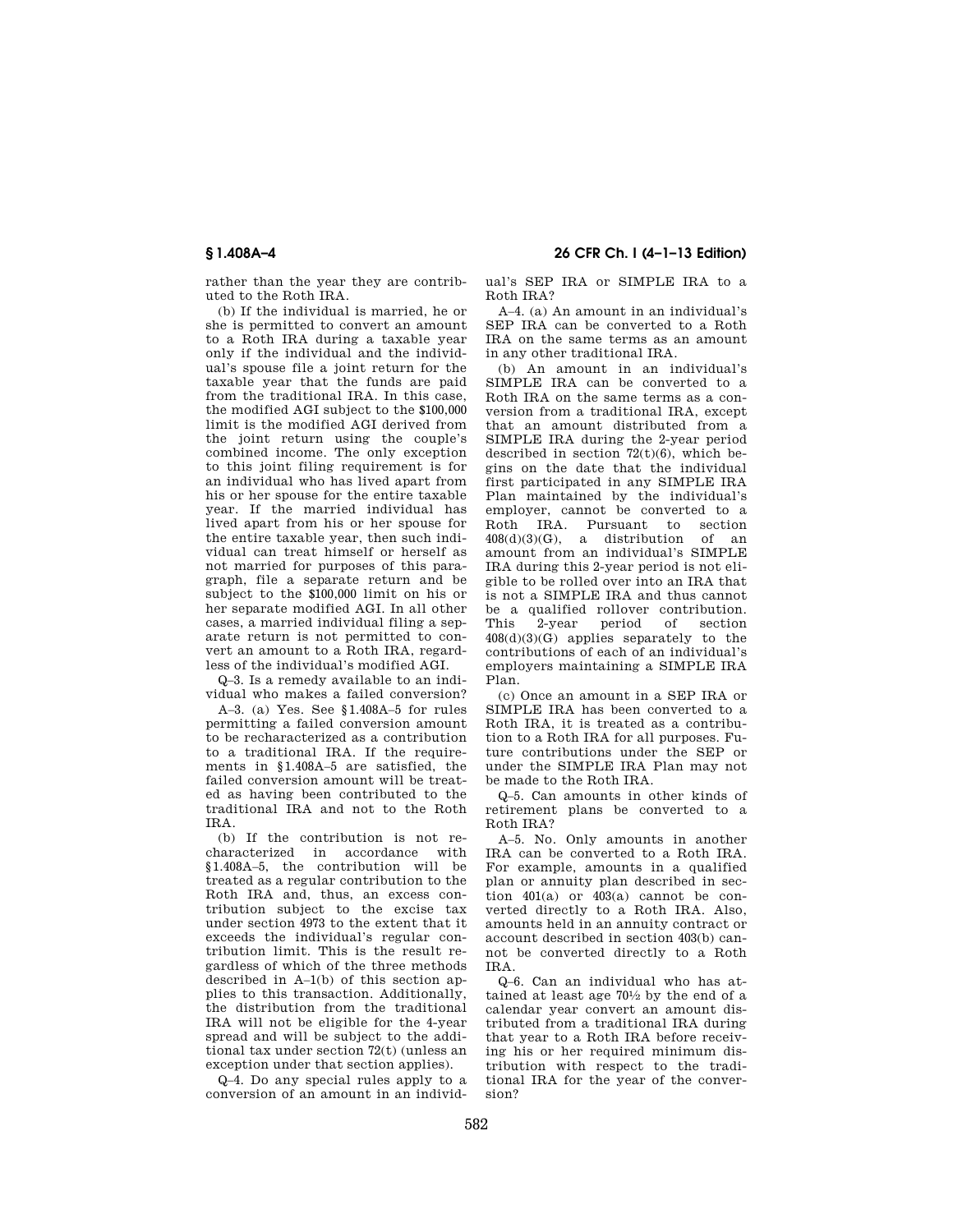rather than the year they are contributed to the Roth IRA.

(b) If the individual is married, he or she is permitted to convert an amount to a Roth IRA during a taxable year only if the individual and the individual's spouse file a joint return for the taxable year that the funds are paid from the traditional IRA. In this case, the modified AGI subject to the \$100,000 limit is the modified AGI derived from the joint return using the couple's combined income. The only exception to this joint filing requirement is for an individual who has lived apart from his or her spouse for the entire taxable year. If the married individual has lived apart from his or her spouse for the entire taxable year, then such individual can treat himself or herself as not married for purposes of this paragraph, file a separate return and be subject to the \$100,000 limit on his or her separate modified AGI. In all other cases, a married individual filing a separate return is not permitted to convert an amount to a Roth IRA, regardless of the individual's modified AGI.

Q–3. Is a remedy available to an individual who makes a failed conversion?

A–3. (a) Yes. See §1.408A–5 for rules permitting a failed conversion amount to be recharacterized as a contribution to a traditional IRA. If the requirements in §1.408A–5 are satisfied, the failed conversion amount will be treated as having been contributed to the traditional IRA and not to the Roth IRA.

(b) If the contribution is not recharacterized in accordance with §1.408A–5, the contribution will be treated as a regular contribution to the Roth IRA and, thus, an excess contribution subject to the excise tax under section 4973 to the extent that it exceeds the individual's regular contribution limit. This is the result regardless of which of the three methods described in A–1(b) of this section applies to this transaction. Additionally, the distribution from the traditional IRA will not be eligible for the 4-year spread and will be subject to the additional tax under section 72(t) (unless an exception under that section applies).

Q–4. Do any special rules apply to a conversion of an amount in an individ-

**§ 1.408A–4 26 CFR Ch. I (4–1–13 Edition)** 

ual's SEP IRA or SIMPLE IRA to a Roth IRA?

A–4. (a) An amount in an individual's SEP IRA can be converted to a Roth IRA on the same terms as an amount in any other traditional IRA.

(b) An amount in an individual's SIMPLE IRA can be converted to a Roth IRA on the same terms as a conversion from a traditional IRA, except that an amount distributed from a SIMPLE IRA during the 2-year period described in section 72(t)(6), which begins on the date that the individual first participated in any SIMPLE IRA Plan maintained by the individual's employer, cannot be converted to a Roth IRA. Pursuant to section  $408(d)(3)(G)$ , a distribution of an amount from an individual's SIMPLE IRA during this 2-year period is not eligible to be rolled over into an IRA that is not a SIMPLE IRA and thus cannot be a qualified rollover contribution.<br>This 2-year period of section This 2-year period of section 408(d)(3)(G) applies separately to the contributions of each of an individual's employers maintaining a SIMPLE IRA Plan.

(c) Once an amount in a SEP IRA or SIMPLE IRA has been converted to a Roth IRA, it is treated as a contribution to a Roth IRA for all purposes. Future contributions under the SEP or under the SIMPLE IRA Plan may not be made to the Roth IRA.

Q–5. Can amounts in other kinds of retirement plans be converted to a Roth IRA?

A–5. No. Only amounts in another IRA can be converted to a Roth IRA. For example, amounts in a qualified plan or annuity plan described in section  $401(a)$  or  $403(a)$  cannot be converted directly to a Roth IRA. Also, amounts held in an annuity contract or account described in section 403(b) cannot be converted directly to a Roth IRA.

Q–6. Can an individual who has attained at least age 701⁄2 by the end of a calendar year convert an amount distributed from a traditional IRA during that year to a Roth IRA before receiving his or her required minimum distribution with respect to the traditional IRA for the year of the conversion?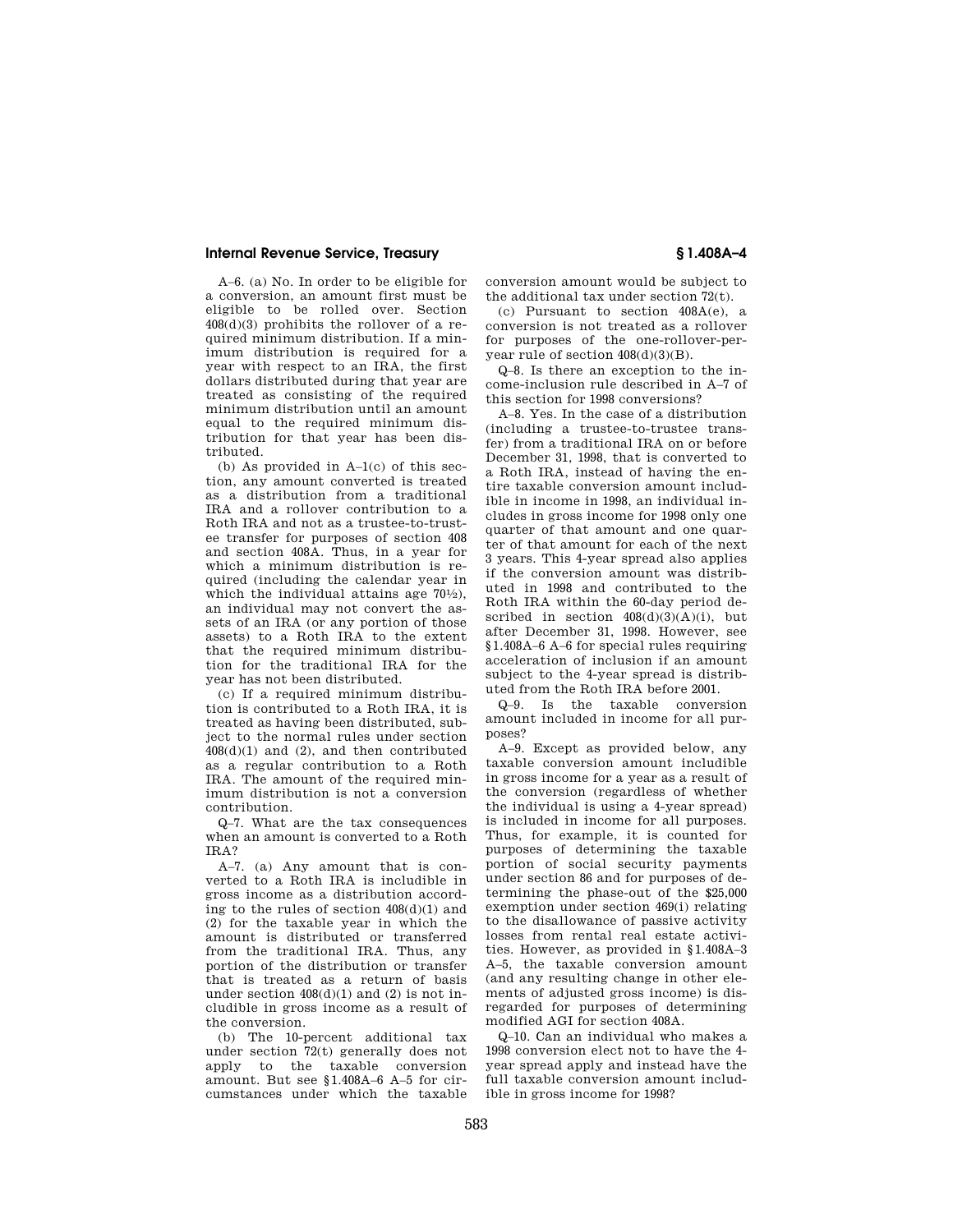# **Internal Revenue Service, Treasury § 1.408A–4**

A–6. (a) No. In order to be eligible for a conversion, an amount first must be eligible to be rolled over. Section 408(d)(3) prohibits the rollover of a required minimum distribution. If a minimum distribution is required for a year with respect to an IRA, the first dollars distributed during that year are treated as consisting of the required minimum distribution until an amount equal to the required minimum distribution for that year has been distributed.

(b) As provided in A–1(c) of this section, any amount converted is treated as a distribution from a traditional IRA and a rollover contribution to a Roth IRA and not as a trustee-to-trustee transfer for purposes of section 408 and section 408A. Thus, in a year for which a minimum distribution is required (including the calendar year in which the individual attains age  $70\frac{1}{2}$ , an individual may not convert the assets of an IRA (or any portion of those assets) to a Roth IRA to the extent that the required minimum distribution for the traditional IRA for the year has not been distributed.

(c) If a required minimum distribution is contributed to a Roth IRA, it is treated as having been distributed, subject to the normal rules under section  $408(d)(1)$  and  $(2)$ , and then contributed as a regular contribution to a Roth IRA. The amount of the required minimum distribution is not a conversion contribution.

Q–7. What are the tax consequences when an amount is converted to a Roth IRA?

A–7. (a) Any amount that is converted to a Roth IRA is includible in gross income as a distribution according to the rules of section 408(d)(1) and (2) for the taxable year in which the amount is distributed or transferred from the traditional IRA. Thus, any portion of the distribution or transfer that is treated as a return of basis under section  $408(d)(1)$  and  $(2)$  is not includible in gross income as a result of the conversion.

(b) The 10-percent additional tax under section 72(t) generally does not apply to the taxable conversion amount. But see §1.408A–6 A–5 for circumstances under which the taxable conversion amount would be subject to the additional tax under section 72(t).

(c) Pursuant to section 408A(e), a conversion is not treated as a rollover for purposes of the one-rollover-peryear rule of section 408(d)(3)(B).

Q–8. Is there an exception to the income-inclusion rule described in A–7 of this section for 1998 conversions?

A–8. Yes. In the case of a distribution (including a trustee-to-trustee transfer) from a traditional IRA on or before December 31, 1998, that is converted to a Roth IRA, instead of having the entire taxable conversion amount includible in income in 1998, an individual includes in gross income for 1998 only one quarter of that amount and one quarter of that amount for each of the next 3 years. This 4-year spread also applies if the conversion amount was distributed in 1998 and contributed to the Roth IRA within the 60-day period described in section  $408(d)(3)(A)(i)$ , but after December 31, 1998. However, see §1.408A–6 A–6 for special rules requiring acceleration of inclusion if an amount subject to the 4-year spread is distributed from the Roth IRA before 2001.

Q–9. Is the taxable conversion amount included in income for all purposes?

A–9. Except as provided below, any taxable conversion amount includible in gross income for a year as a result of the conversion (regardless of whether the individual is using a 4-year spread) is included in income for all purposes. Thus, for example, it is counted for purposes of determining the taxable portion of social security payments under section 86 and for purposes of determining the phase-out of the \$25,000 exemption under section 469(i) relating to the disallowance of passive activity losses from rental real estate activities. However, as provided in §1.408A–3 A–5, the taxable conversion amount (and any resulting change in other elements of adjusted gross income) is disregarded for purposes of determining modified AGI for section 408A.

Q–10. Can an individual who makes a 1998 conversion elect not to have the 4 year spread apply and instead have the full taxable conversion amount includible in gross income for 1998?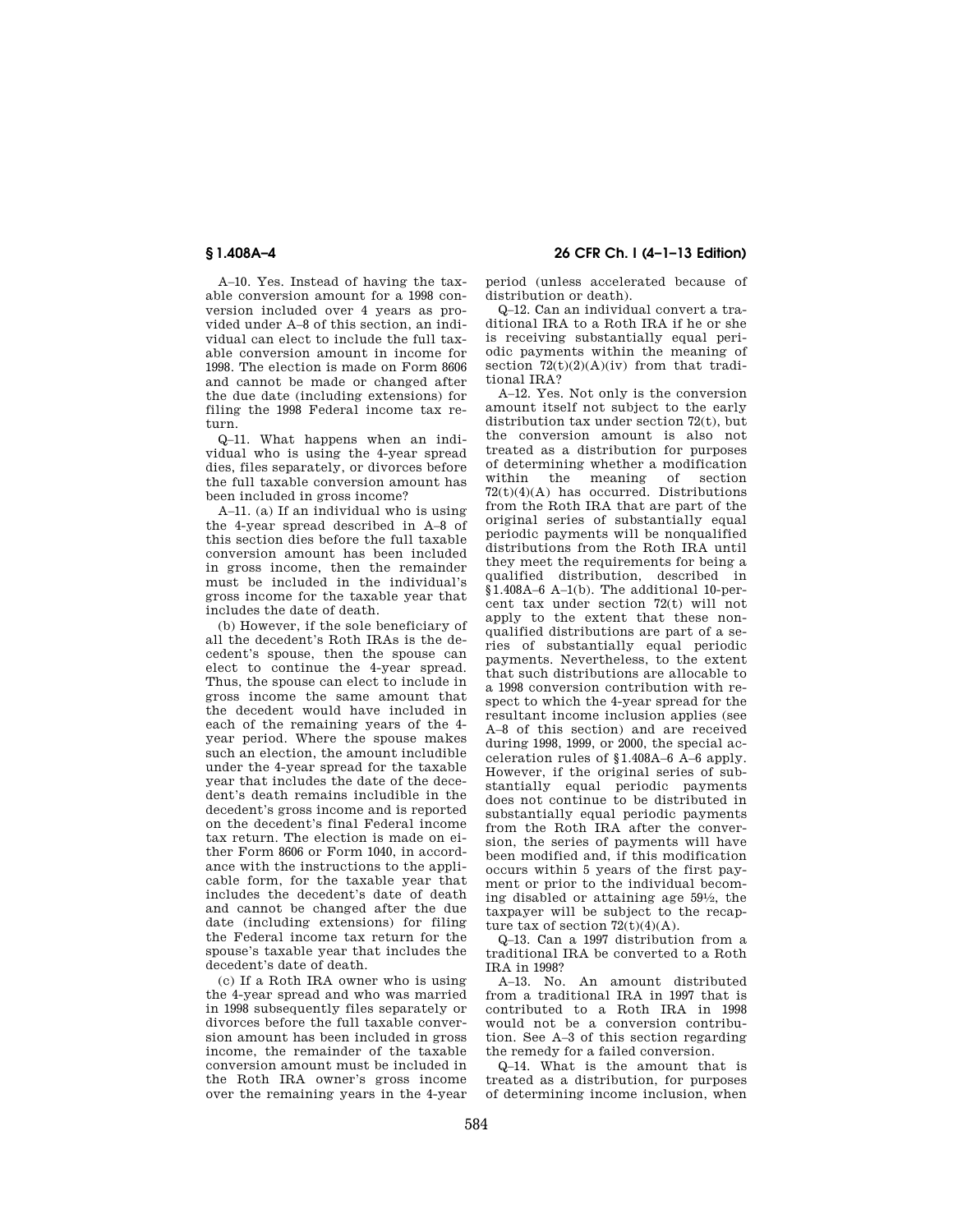A–10. Yes. Instead of having the taxable conversion amount for a 1998 conversion included over 4 years as provided under A–8 of this section, an individual can elect to include the full taxable conversion amount in income for 1998. The election is made on Form 8606 and cannot be made or changed after the due date (including extensions) for filing the 1998 Federal income tax return.

Q–11. What happens when an individual who is using the 4-year spread dies, files separately, or divorces before the full taxable conversion amount has been included in gross income?

A–11. (a) If an individual who is using the 4-year spread described in A–8 of this section dies before the full taxable conversion amount has been included in gross income, then the remainder must be included in the individual's gross income for the taxable year that includes the date of death.

(b) However, if the sole beneficiary of all the decedent's Roth IRAs is the decedent's spouse, then the spouse can elect to continue the 4-year spread. Thus, the spouse can elect to include in gross income the same amount that the decedent would have included in each of the remaining years of the 4 year period. Where the spouse makes such an election, the amount includible under the 4-year spread for the taxable year that includes the date of the decedent's death remains includible in the decedent's gross income and is reported on the decedent's final Federal income tax return. The election is made on either Form 8606 or Form 1040, in accordance with the instructions to the applicable form, for the taxable year that includes the decedent's date of death and cannot be changed after the due date (including extensions) for filing the Federal income tax return for the spouse's taxable year that includes the decedent's date of death.

(c) If a Roth IRA owner who is using the 4-year spread and who was married in 1998 subsequently files separately or divorces before the full taxable conversion amount has been included in gross income, the remainder of the taxable conversion amount must be included in the Roth IRA owner's gross income over the remaining years in the 4-year

**§ 1.408A–4 26 CFR Ch. I (4–1–13 Edition)** 

period (unless accelerated because of distribution or death).

Q–12. Can an individual convert a traditional IRA to a Roth IRA if he or she is receiving substantially equal periodic payments within the meaning of section  $72(t)(2)(A)(iv)$  from that traditional IRA?

A–12. Yes. Not only is the conversion amount itself not subject to the early distribution tax under section 72(t), but the conversion amount is also not treated as a distribution for purposes of determining whether a modification within the meaning of section  $72(t)(4)(A)$  has occurred. Distributions from the Roth IRA that are part of the original series of substantially equal periodic payments will be nonqualified distributions from the Roth IRA until they meet the requirements for being a qualified distribution, described in §1.408A–6 A–1(b). The additional 10-percent tax under section 72(t) will not apply to the extent that these nonqualified distributions are part of a series of substantially equal periodic payments. Nevertheless, to the extent that such distributions are allocable to a 1998 conversion contribution with respect to which the 4-year spread for the resultant income inclusion applies (see A–8 of this section) and are received during 1998, 1999, or 2000, the special acceleration rules of §1.408A–6 A–6 apply. However, if the original series of substantially equal periodic payments does not continue to be distributed in substantially equal periodic payments from the Roth IRA after the conversion, the series of payments will have been modified and, if this modification occurs within 5 years of the first payment or prior to the individual becoming disabled or attaining age 591⁄2, the taxpayer will be subject to the recapture tax of section  $72(t)(4)(A)$ .

Q–13. Can a 1997 distribution from a traditional IRA be converted to a Roth IRA in 1998?

A–13. No. An amount distributed from a traditional IRA in 1997 that is contributed to a Roth IRA in 1998 would not be a conversion contribution. See A–3 of this section regarding the remedy for a failed conversion.

Q–14. What is the amount that is treated as a distribution, for purposes of determining income inclusion, when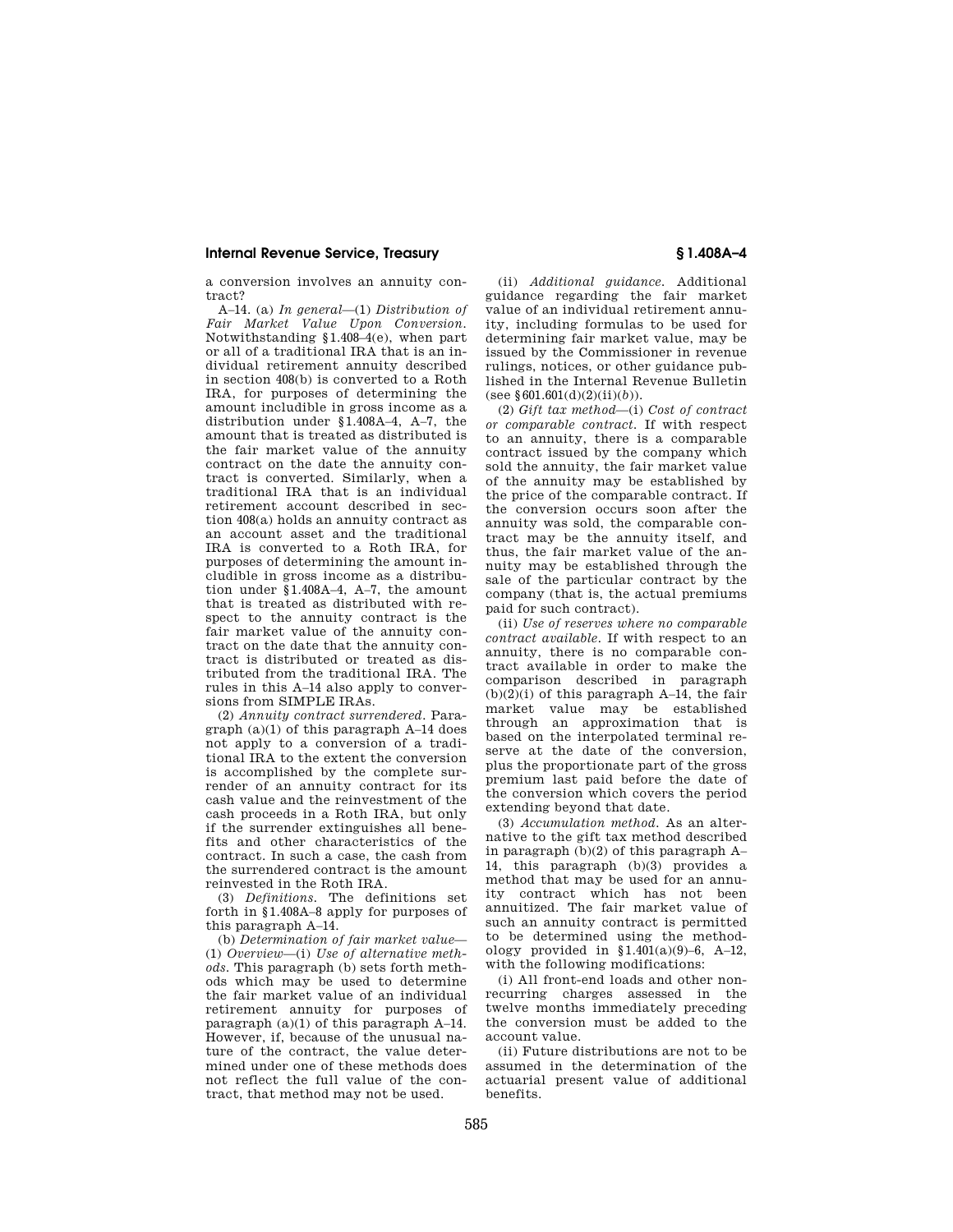### **Internal Revenue Service, Treasury § 1.408A–4**

a conversion involves an annuity contract?

A–14. (a) *In general*—(1) *Distribution of Fair Market Value Upon Conversion.*  Notwithstanding §1.408–4(e), when part or all of a traditional IRA that is an individual retirement annuity described in section 408(b) is converted to a Roth IRA, for purposes of determining the amount includible in gross income as a distribution under §1.408A–4, A–7, the amount that is treated as distributed is the fair market value of the annuity contract on the date the annuity contract is converted. Similarly, when a traditional IRA that is an individual retirement account described in section 408(a) holds an annuity contract as an account asset and the traditional IRA is converted to a Roth IRA, for purposes of determining the amount includible in gross income as a distribution under §1.408A–4, A–7, the amount that is treated as distributed with respect to the annuity contract is the fair market value of the annuity contract on the date that the annuity contract is distributed or treated as distributed from the traditional IRA. The rules in this A–14 also apply to conversions from SIMPLE IRAs.

(2) *Annuity contract surrendered.* Paragraph (a)(1) of this paragraph A–14 does not apply to a conversion of a traditional IRA to the extent the conversion is accomplished by the complete surrender of an annuity contract for its cash value and the reinvestment of the cash proceeds in a Roth IRA, but only if the surrender extinguishes all benefits and other characteristics of the contract. In such a case, the cash from the surrendered contract is the amount reinvested in the Roth IRA.

(3) *Definitions.* The definitions set forth in §1.408A–8 apply for purposes of this paragraph A–14.

(b) *Determination of fair market value*— (1) *Overview*—(i) *Use of alternative methods.* This paragraph (b) sets forth methods which may be used to determine the fair market value of an individual retirement annuity for purposes of paragraph (a)(1) of this paragraph A–14. However, if, because of the unusual nature of the contract, the value determined under one of these methods does not reflect the full value of the contract, that method may not be used.

(ii) *Additional guidance.* Additional guidance regarding the fair market value of an individual retirement annuity, including formulas to be used for determining fair market value, may be issued by the Commissioner in revenue rulings, notices, or other guidance published in the Internal Revenue Bulletin (see  $§601.601(d)(2)(ii)(b)).$ 

(2) *Gift tax method*—(i) *Cost of contract or comparable contract.* If with respect to an annuity, there is a comparable contract issued by the company which sold the annuity, the fair market value of the annuity may be established by the price of the comparable contract. If the conversion occurs soon after the annuity was sold, the comparable contract may be the annuity itself, and thus, the fair market value of the annuity may be established through the sale of the particular contract by the company (that is, the actual premiums paid for such contract).

(ii) *Use of reserves where no comparable contract available.* If with respect to an annuity, there is no comparable contract available in order to make the comparison described in paragraph  $(b)(2)(i)$  of this paragraph A–14, the fair market value may be established through an approximation that is based on the interpolated terminal reserve at the date of the conversion, plus the proportionate part of the gross premium last paid before the date of the conversion which covers the period extending beyond that date.

(3) *Accumulation method.* As an alternative to the gift tax method described in paragraph (b)(2) of this paragraph A– 14, this paragraph (b)(3) provides a method that may be used for an annuity contract which has not been annuitized. The fair market value of such an annuity contract is permitted to be determined using the methodology provided in  $$1.401(a)(9)-6$ , A-12, with the following modifications:

(i) All front-end loads and other nonrecurring charges assessed in the twelve months immediately preceding the conversion must be added to the account value.

(ii) Future distributions are not to be assumed in the determination of the actuarial present value of additional benefits.